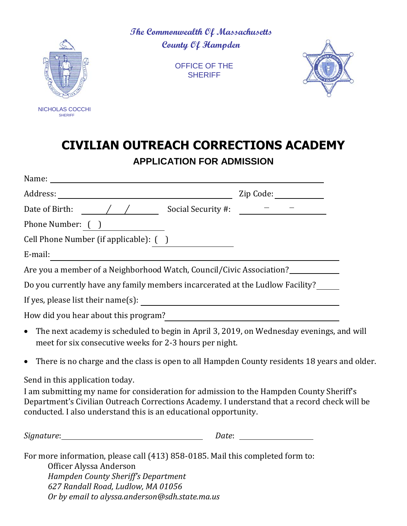

**The Commonwealth Of Massachusetts County Of Hampden**

> OFFICE OF THE **SHERIFF**



## **CIVILIAN OUTREACH CORRECTIONS ACADEMY APPLICATION FOR ADMISSION**

|                                                                                                                                                                                                                                                                                                | Zip Code: ____________                                                                                                                                                                                                                                                                                                                                                                                                                                                                                                                   |  |
|------------------------------------------------------------------------------------------------------------------------------------------------------------------------------------------------------------------------------------------------------------------------------------------------|------------------------------------------------------------------------------------------------------------------------------------------------------------------------------------------------------------------------------------------------------------------------------------------------------------------------------------------------------------------------------------------------------------------------------------------------------------------------------------------------------------------------------------------|--|
|                                                                                                                                                                                                                                                                                                | $\begin{tabular}{ll} $ \color{red} - & \color{red} - & \color{red} - \\ \color{red} & \color{red} - & \color{red} - \\ \color{red} & \color{red} - & \color{red} - \\ \color{red} & \color{red} - & \color{red} - \\ \color{red} & \color{red} - & \color{red} - \\ \color{red} & \color{red} - & \color{red} - \\ \color{red} & \color{red} - & \color{red} - \\ \color{red} & \color{red} - & \color{red} - \\ \color{red} & \color{red} - & \color{red} - \\ \color{red} & \color{red} - & \color{red} - \\ \color{red} & \color{red$ |  |
| Phone Number: ( )                                                                                                                                                                                                                                                                              |                                                                                                                                                                                                                                                                                                                                                                                                                                                                                                                                          |  |
| Cell Phone Number (if applicable): ()                                                                                                                                                                                                                                                          |                                                                                                                                                                                                                                                                                                                                                                                                                                                                                                                                          |  |
| E-mail:                                                                                                                                                                                                                                                                                        |                                                                                                                                                                                                                                                                                                                                                                                                                                                                                                                                          |  |
| Are you a member of a Neighborhood Watch, Council/Civic Association?                                                                                                                                                                                                                           |                                                                                                                                                                                                                                                                                                                                                                                                                                                                                                                                          |  |
| Do you currently have any family members incarcerated at the Ludlow Facility?                                                                                                                                                                                                                  |                                                                                                                                                                                                                                                                                                                                                                                                                                                                                                                                          |  |
|                                                                                                                                                                                                                                                                                                |                                                                                                                                                                                                                                                                                                                                                                                                                                                                                                                                          |  |
| How did you hear about this program?<br><u>Letting and the contract of the set of the set of the set of the set of the set of the set of the set of the set of the set of the set of the set of the set of the set of the set of t</u>                                                         |                                                                                                                                                                                                                                                                                                                                                                                                                                                                                                                                          |  |
| The next academy is scheduled to begin in April 3, 2019, on Wednesday evenings, and will<br>$\bullet$<br>meet for six consecutive weeks for 2-3 hours per night.                                                                                                                               |                                                                                                                                                                                                                                                                                                                                                                                                                                                                                                                                          |  |
| There is no charge and the class is open to all Hampden County residents 18 years and older.<br>$\bullet$                                                                                                                                                                                      |                                                                                                                                                                                                                                                                                                                                                                                                                                                                                                                                          |  |
| Send in this application today.<br>I am submitting my name for consideration for admission to the Hampden County Sheriff's<br>Department's Civilian Outreach Corrections Academy. I understand that a record check will be<br>conducted. I also understand this is an educational opportunity. |                                                                                                                                                                                                                                                                                                                                                                                                                                                                                                                                          |  |
|                                                                                                                                                                                                                                                                                                |                                                                                                                                                                                                                                                                                                                                                                                                                                                                                                                                          |  |
| For more information, please call (413) 858-0185. Mail this completed form to:<br>Officer Alyssa Anderson<br><b>Hampden County Sheriff's Department</b>                                                                                                                                        |                                                                                                                                                                                                                                                                                                                                                                                                                                                                                                                                          |  |

*627 Randall Road, Ludlow, MA 01056 Or by email to alyssa.anderson@sdh.state.ma.us*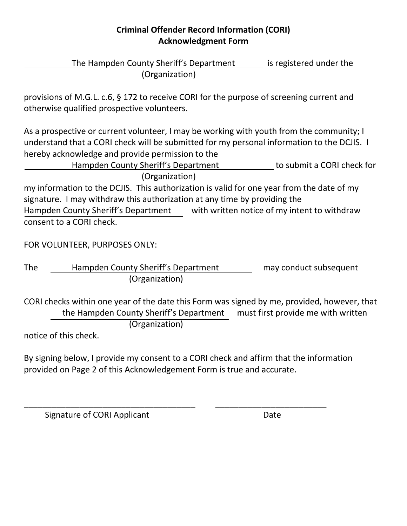## **Criminal Offender Record Information (CORI) Acknowledgment Form**

The Hampden County Sheriff's Department is registered under the (Organization)

provisions of M.G.L. c.6, § 172 to receive CORI for the purpose of screening current and otherwise qualified prospective volunteers.

As a prospective or current volunteer, I may be working with youth from the community; I understand that a CORI check will be submitted for my personal information to the DCJIS. I hereby acknowledge and provide permission to the

Hampden County Sheriff's Department to submit a CORI check for (Organization)

my information to the DCJIS. This authorization is valid for one year from the date of my signature. I may withdraw this authorization at any time by providing the Hampden County Sheriff's Department with written notice of my intent to withdraw consent to a CORI check.

FOR VOLUNTEER, PURPOSES ONLY:

The Hampden County Sheriff's Department may conduct subsequent (Organization)

CORI checks within one year of the date this Form was signed by me, provided, however, that the Hampden County Sheriff's Department must first provide me with written (Organization)

notice of this check.

By signing below, I provide my consent to a CORI check and affirm that the information provided on Page 2 of this Acknowledgement Form is true and accurate.

\_\_\_\_\_\_\_\_\_\_\_\_\_\_\_\_\_\_\_\_\_\_\_\_\_\_\_\_\_\_\_\_\_\_\_\_\_ \_\_\_\_\_\_\_\_\_\_\_\_\_\_\_\_\_\_\_\_\_\_\_\_

Signature of CORI Applicant Date Date